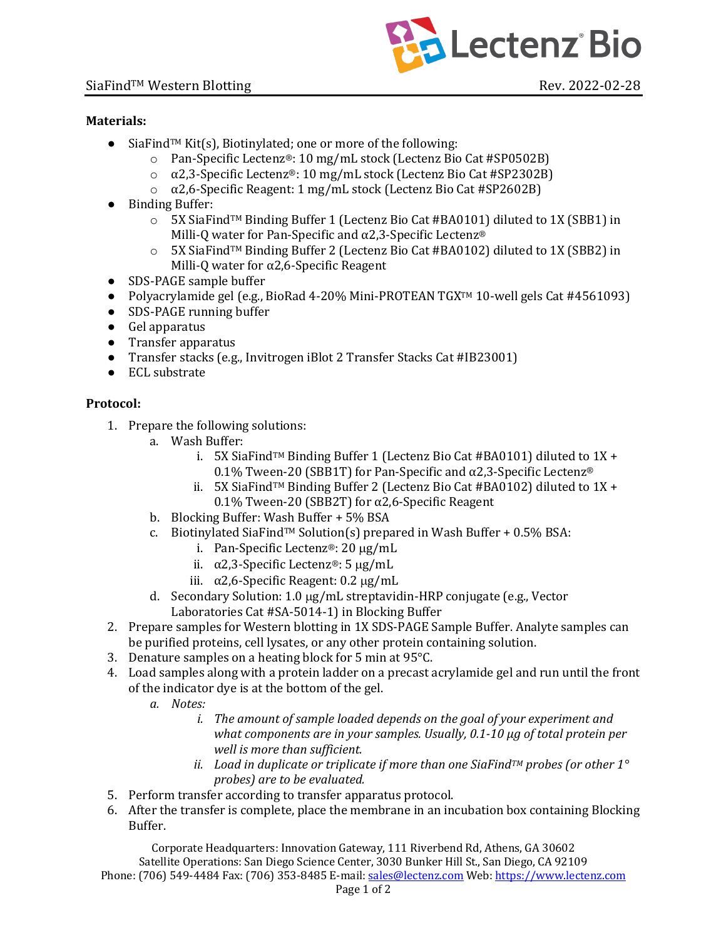

## **Materials:**

- SiaFind<sup>TM</sup> Kit(s), Biotinylated; one or more of the following:
	- $\circ$  Pan-Specific Lectenz®: 10 mg/mL stock (Lectenz Bio Cat #SP0502B)
	- $\alpha$  a 2,3-Specific Lectenz®: 10 mg/mL stock (Lectenz Bio Cat #SP2302B)
	- ο  $\alpha$ 2,6-Specific Reagent: 1 mg/mL stock (Lectenz Bio Cat #SP2602B)
- Binding Buffer:
	- $\circ$  5X SiaFind<sup>TM</sup> Binding Buffer 1 (Lectenz Bio Cat #BA0101) diluted to 1X (SBB1) in Milli-Q water for Pan-Specific and  $\alpha$ 2,3-Specific Lectenz®
	- $\circ$  5X SiaFind<sup>TM</sup> Binding Buffer 2 (Lectenz Bio Cat #BA0102) diluted to 1X (SBB2) in Milli-Q water for  $\alpha$ 2,6-Specific Reagent
- SDS-PAGE sample buffer
- Polyacrylamide gel (e.g., BioRad 4-20% Mini-PROTEAN TGX<sup>™</sup> 10-well gels Cat #4561093)
- SDS-PAGE running buffer
- Gel apparatus
- Transfer apparatus
- Transfer stacks (e.g., Invitrogen iBlot 2 Transfer Stacks Cat #IB23001)
- ECL substrate

## **Protocol:**

- 1. Prepare the following solutions:
	- a. Wash Buffer:
		- i. 5X SiaFind<sup>TM</sup> Binding Buffer 1 (Lectenz Bio Cat #BA0101) diluted to  $1X +$ 0.1% Tween-20 (SBB1T) for Pan-Specific and  $\alpha$ 2,3-Specific Lectenz<sup>®</sup>
		- ii. 5X SiaFind<sup>TM</sup> Binding Buffer 2 (Lectenz Bio Cat #BA0102) diluted to  $1X +$ 0.1% Tween-20 (SBB2T) for  $\alpha$ 2,6-Specific Reagent
	- b. Blocking Buffer: Wash Buffer  $+5\%$  BSA
	- c. Biotinylated SiaFind<sup>TM</sup> Solution(s) prepared in Wash Buffer  $+0.5\%$  BSA:
		- i. Pan-Specific Lectenz®:  $20 \mu g/mL$
		- ii.  $\alpha$ 2,3-Specific Lectenz®: 5  $\mu$ g/mL
		- iii.  $\alpha$ 2,6-Specific Reagent: 0.2  $\mu$ g/mL
	- d. Secondary Solution: 1.0 µg/mL streptavidin-HRP conjugate (e.g., Vector Laboratories Cat #SA-5014-1) in Blocking Buffer
- 2. Prepare samples for Western blotting in 1X SDS-PAGE Sample Buffer. Analyte samples can be purified proteins, cell lysates, or any other protein containing solution.
- 3. Denature samples on a heating block for 5 min at  $95^{\circ}$ C.
- 4. Load samples along with a protein ladder on a precast acrylamide gel and run until the front of the indicator dye is at the bottom of the gel.
	- *a. Notes:* 
		- *i.* The amount of sample loaded depends on the goal of your experiment and *what components are in your samples. Usually, 0.1-10 µg of total protein per well is more than sufficient.*
		- *ii.* Load in duplicate or triplicate if more than one SiaFind™ probes (or other 1<sup>°</sup> *probes)* are to be evaluated.
- 5. Perform transfer according to transfer apparatus protocol.
- 6. After the transfer is complete, place the membrane in an incubation box containing Blocking Buffer.

Corporate Headquarters: Innovation Gateway, 111 Riverbend Rd, Athens, GA 30602 Satellite Operations: San Diego Science Center, 3030 Bunker Hill St., San Diego, CA 92109 Phone: (706) 549-4484 Fax: (706) 353-8485 E-mail: sales@lectenz.com Web: https://www.lectenz.com